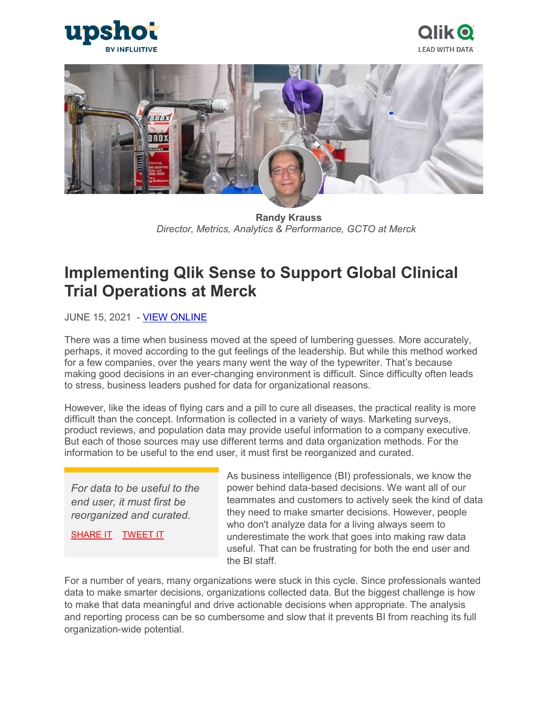





 **Randy Krauss**  *Director, Metrics, Analytics & Performance, GCTO at Merck*

# **Implementing Qlik Sense to Support Global Clinical Trial Operations at Merck**

**JUNE 15, 2021 - [VIEW ONLINE](https://upshotstories.com/stories/implementing-qlik-sense-to-support-global-clinical-trial-operations-at-merck)** 

There was a time when business moved at the speed of lumbering guesses. More accurately, perhaps, it moved according to the gut feelings of the leadership. But while this method worked for a few companies, over the years many went the way of the typewriter. That's because making good decisions in an ever-changing environment is difficult. Since difficulty often leads to stress, business leaders pushed for data for organizational reasons.

However, like the ideas of flying cars and a pill to cure all diseases, the practical reality is more difficult than the concept. Information is collected in a variety of ways. Marketing surveys, product reviews, and population data may provide useful information to a company executive. But each of those sources may use different terms and data organization methods. For the information to be useful to the end user, it must first be reorganized and curated.

*For data to be useful to the end user, it must first be reorganized and curated.*

[SHARE IT](https://linkedin.com/shareArticle?url=http%3A%2F%2Fupshotstories.com%2Fstories%2F735%3Futm_source%3Dpost%26utm_medium%3Dlinkedin1%26utm_campaign%3Dpost735&mini=true&title=For%20data%20to%20be%20useful%20to%20the%20end%20user%2C%20it%20must%20first%20be%20reorganized%20and%20curated.%20%20%20%20%20%20&summary=Implementing%20Qlik%20Sense%20to%20Support%20Global%20Clinical%20Trial%20Operations%20at%20Merck) [TWEET IT](https://twitter.com/intent/tweet?text=For%20data%20to%20be%20useful%20to%20the%20end%20user%2C%20it%20must%20first%20be%20reorganized%20and%20curated.%20http%3A%2F%2Fupshotstories.com%2Fstories%2F735%3Futm_source%3Dpost%26utm_medium%3Dtweet1%26utm_campaign%3Dpost735)

As business intelligence (BI) professionals, we know the power behind data-based decisions. We want all of our teammates and customers to actively seek the kind of data they need to make smarter decisions. However, people who don't analyze data for a living always seem to underestimate the work that goes into making raw data useful. That can be frustrating for both the end user and the BI staff.

For a number of years, many organizations were stuck in this cycle. Since professionals wanted data to make smarter decisions, organizations collected data. But the biggest challenge is how to make that data meaningful and drive actionable decisions when appropriate. The analysis and reporting process can be so cumbersome and slow that it prevents BI from reaching its full organization-wide potential.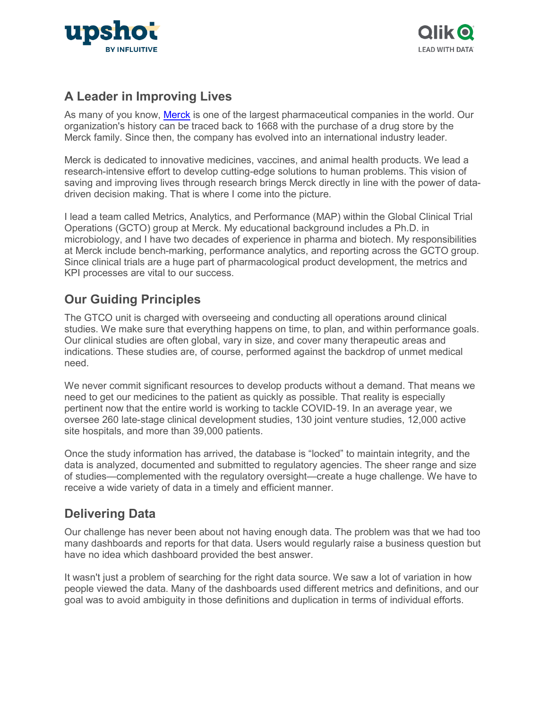



### **A Leader in Improving Lives**

As many of you know, [Merck](https://www.merck.com/index.html) is one of the largest pharmaceutical companies in the world. Our organization's history can be traced back to 1668 with the purchase of a drug store by the Merck family. Since then, the company has evolved into an international industry leader.

Merck is dedicated to innovative medicines, vaccines, and animal health products. We lead a research-intensive effort to develop cutting-edge solutions to human problems. This vision of saving and improving lives through research brings Merck directly in line with the power of datadriven decision making. That is where I come into the picture.

I lead a team called Metrics, Analytics, and Performance (MAP) within the Global Clinical Trial Operations (GCTO) group at Merck. My educational background includes a Ph.D. in microbiology, and I have two decades of experience in pharma and biotech. My responsibilities at Merck include bench-marking, performance analytics, and reporting across the GCTO group. Since clinical trials are a huge part of pharmacological product development, the metrics and KPI processes are vital to our success.

## **Our Guiding Principles**

The GTCO unit is charged with overseeing and conducting all operations around clinical studies. We make sure that everything happens on time, to plan, and within performance goals. Our clinical studies are often global, vary in size, and cover many therapeutic areas and indications. These studies are, of course, performed against the backdrop of unmet medical need.

We never commit significant resources to develop products without a demand. That means we need to get our medicines to the patient as quickly as possible. That reality is especially pertinent now that the entire world is working to tackle COVID-19. In an average year, we oversee 260 late-stage clinical development studies, 130 joint venture studies, 12,000 active site hospitals, and more than 39,000 patients.

Once the study information has arrived, the database is "locked" to maintain integrity, and the data is analyzed, documented and submitted to regulatory agencies. The sheer range and size of studies—complemented with the regulatory oversight—create a huge challenge. We have to receive a wide variety of data in a timely and efficient manner.

### **Delivering Data**

Our challenge has never been about not having enough data. The problem was that we had too many dashboards and reports for that data. Users would regularly raise a business question but have no idea which dashboard provided the best answer.

It wasn't just a problem of searching for the right data source. We saw a lot of variation in how people viewed the data. Many of the dashboards used different metrics and definitions, and our goal was to avoid ambiguity in those definitions and duplication in terms of individual efforts.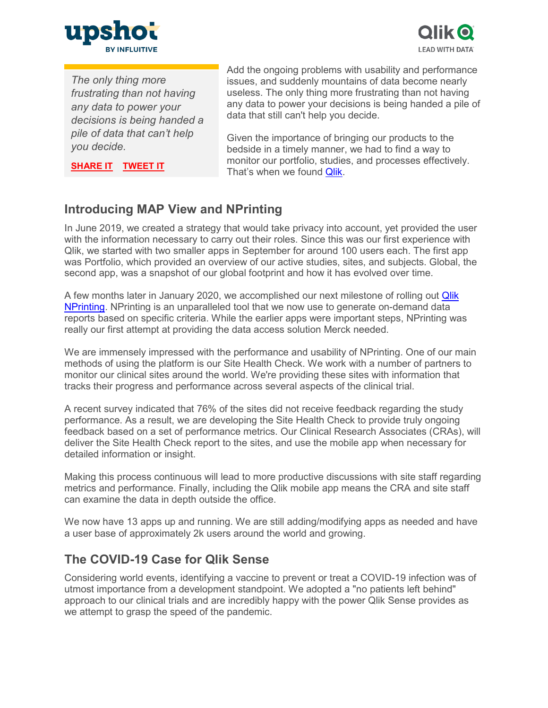



*The only thing more frustrating than not having any data to power your decisions is being handed a pile of data that can't help you decide.*

**[SHARE IT](https://linkedin.com/shareArticle?url=http%3A%2F%2Fupshotstories.com%2Fstories%2F735%3Futm_source%3Dpost%26utm_medium%3Dlinkedin2%26utm_campaign%3Dpost735&mini=true&title=The%20only%20thing%20more%20frustrating%20than%20not%20having%20any%20data%20to%20power%20your%20decisions%20is%20being%20handed%20a%20pile%20of%20data%20that%20can%E2%80%99t%20help%20you%20decide.%20%20%20%20%20%20&summary=Implementing%20Qlik%20Sense%20to%20Support%20Global%20Clinical%20Trial%20Operations%20at%20Merck) [TWEET IT](https://twitter.com/intent/tweet?text=The%20only%20thing%20more%20frustrating%20than%20not%20having%20any%20data%20to%20power%20your%20decisions%20is%20being%20handed%20a%20pile%20of%20data%20that%20can%E2%80%99t%20help%20you%20decide.%20http%3A%2F%2Fupshotstories.com%2Fstories%2F735%3Futm_source%3Dpost%26utm_medium%3Dtweet2%26utm_campaign%3Dpost735)**

Add the ongoing problems with usability and performance issues, and suddenly mountains of data become nearly useless. The only thing more frustrating than not having any data to power your decisions is being handed a pile of data that still can't help you decide.

Given the importance of bringing our products to the bedside in a timely manner, we had to find a way to monitor our portfolio, studies, and processes effectively. That's when we found **Qlik.** 

**Introducing MAP View and NPrinting**

In June 2019, we created a strategy that would take privacy into account, yet provided the user with the information necessary to carry out their roles. Since this was our first experience with Qlik, we started with two smaller apps in September for around 100 users each. The first app was Portfolio, which provided an overview of our active studies, sites, and subjects. Global, the second app, was a snapshot of our global footprint and how it has evolved over time.

A few months later in January 2020, we accomplished our next milestone of rolling out [Qlik](https://www.qlik.com/us/products/nprinting)  [NPrinting.](https://www.qlik.com/us/products/nprinting) NPrinting is an unparalleled tool that we now use to generate on-demand data reports based on specific criteria. While the earlier apps were important steps, NPrinting was really our first attempt at providing the data access solution Merck needed.

We are immensely impressed with the performance and usability of NPrinting. One of our main methods of using the platform is our Site Health Check. We work with a number of partners to monitor our clinical sites around the world. We're providing these sites with information that tracks their progress and performance across several aspects of the clinical trial.

A recent survey indicated that 76% of the sites did not receive feedback regarding the study performance. As a result, we are developing the Site Health Check to provide truly ongoing feedback based on a set of performance metrics. Our Clinical Research Associates (CRAs), will deliver the Site Health Check report to the sites, and use the mobile app when necessary for detailed information or insight.

Making this process continuous will lead to more productive discussions with site staff regarding metrics and performance. Finally, including the Qlik mobile app means the CRA and site staff can examine the data in depth outside the office.

We now have 13 apps up and running. We are still adding/modifying apps as needed and have a user base of approximately 2k users around the world and growing.

### **The COVID-19 Case for Qlik Sense**

Considering world events, identifying a vaccine to prevent or treat a COVID-19 infection was of utmost importance from a development standpoint. We adopted a "no patients left behind" approach to our clinical trials and are incredibly happy with the power Qlik Sense provides as we attempt to grasp the speed of the pandemic.